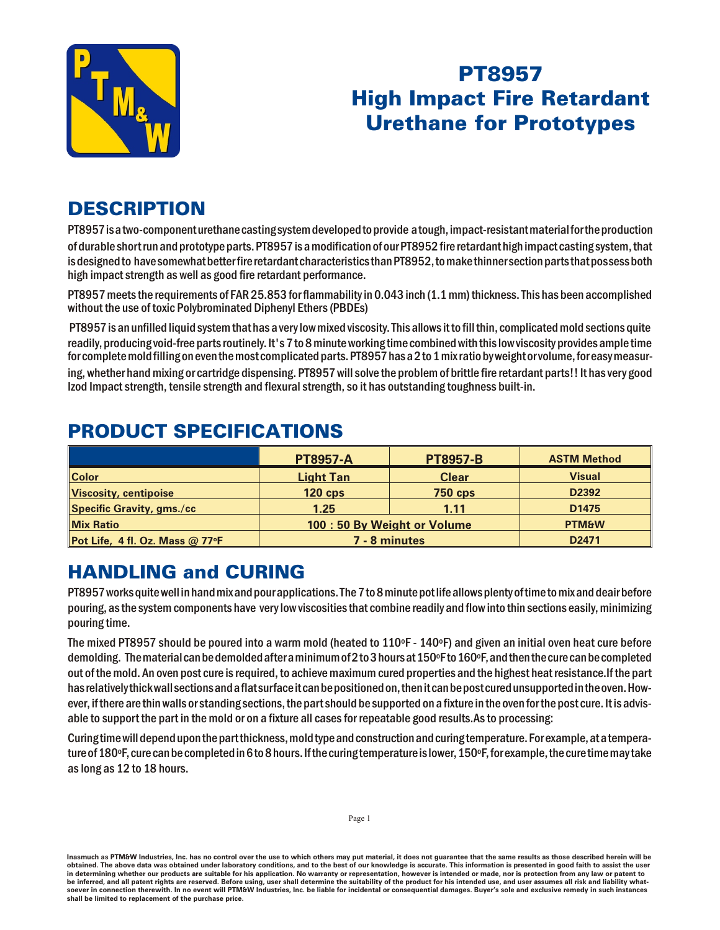

## PT8957 **High Impact Fire Retardant Urethane for Prototypes**

## **DESCRIPTION**

PT8957 is a two-component urethane casting system developed to provide a tough, impact-resistant material for the production of durable short run and prototype parts. PT8957 is a modification of our PT8952 fire retardant high impact casting system, that is designed to have somewhat better fire retardant characteristics than PT8952, to make thinner section parts that possess both high impact strength as well as good fire retardant performance.

PT8957 meets the requirements of FAR 25.853 for flammability in 0.043 inch (1.1 mm) thickness. This has been accomplished without the use of toxic Polybrominated Diphenyl Ethers (PBDEs)

 PT8957 is an unfilled liquid system that has a very low mixed viscosity. This allows it to fill thin, complicated mold sections quite readily, producing void-free parts routinely. It's 7 to 8 minute working time combined with this low viscosity provides ample time for complete mold filling on even the most complicated parts. PT8957 has a 2 to 1 mix ratio by weight or volume, for easy measur-

ing, whether hand mixing or cartridge dispensing. PT8957 will solve the problem of brittle fire retardant parts!! It has very good Izod Impact strength, tensile strength and flexural strength, so it has outstanding toughness built-in.

|                                 | <b>PT8957-A</b>            | <b>PT8957-B</b> | <b>ASTM Method</b> |
|---------------------------------|----------------------------|-----------------|--------------------|
| <b>Color</b>                    | <b>Light Tan</b>           | <b>Clear</b>    | <b>Visual</b>      |
| Viscosity, centipoise           | $120$ cps                  | <b>750 cps</b>  | D2392              |
| Specific Gravity, gms./cc       | 1.25                       | 1.11            | D <sub>1475</sub>  |
| <b>Mix Ratio</b>                | 100:50 By Weight or Volume |                 | <b>PTM&amp;W</b>   |
| Pot Life, 4 fl. Oz. Mass @ 77°F | 7 - 8 minutes              |                 | D <sub>2471</sub>  |

## PRODUCT SPECIFICATIONS

## **HANDLING and CURING**

PT8957 works quite well in hand mix and pour applications. The 7 to 8 minute pot life allows plenty of time to mix and deair before pouring, as the system components have very low viscosities that combine readily and flow into thin sections easily, minimizing pouring time.

The mixed PT8957 should be poured into a warm mold (heated to  $110\textdegree F - 140\textdegree F$ ) and given an initial oven heat cure before demolding. The material can be demolded after a minimum of 2 to 3 hours at 150°F to 160°F, and then the cure can be completed out of the mold. An oven post cure is required, to achieve maximum cured properties and the highest heat resistance. If the part has relatively thick wall sections and a flat surface it can be positioned on, then it can be post cured unsupported in the oven. However, if there are thin walls or standing sections, the part should be supported on a fixture in the oven for the post cure. It is advisable to support the part in the mold or on a fixture all cases for repeatable good results. As to processing:

Curing time will depend upon the part thickness, mold type and construction and curing temperature. For example, at a temperature of 180°F, cure can be completed in 6 to 8 hours. If the curing temperature is lower, 150°F, for example, the cure time may take as long as 12 to 18 hours.

Inasmuch as PTM&W Industries, Inc. has no control over the use to which others may put material, it does not guarantee that the same results as those described herein will be obtained. The above data was obtained under laboratory conditions, and to the best of our knowledge is accurate. This information is presented in good faith to assist the user in determining whether our products are suitable for his application. No warranty or representation, however is intended or made, nor is protection from any law be inferred, and all patent rights are reserved. Before using, user shall determine the suitability of the product for his intended use, and user assumes all risk and liability whatsoever in connection therewith. In no event will PTM&W Industries, Inc. be liable for incidental or consequential damages. Buyer's sole and exclusive remedy in such instances shall be limited to replacement of the purchase price.